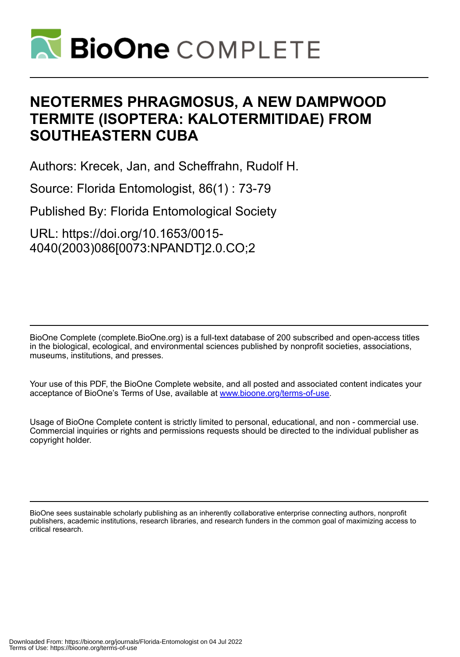

# **NEOTERMES PHRAGMOSUS, A NEW DAMPWOOD TERMITE (ISOPTERA: KALOTERMITIDAE) FROM SOUTHEASTERN CUBA**

Authors: Krecek, Jan, and Scheffrahn, Rudolf H.

Source: Florida Entomologist, 86(1) : 73-79

Published By: Florida Entomological Society

URL: https://doi.org/10.1653/0015- 4040(2003)086[0073:NPANDT]2.0.CO;2

BioOne Complete (complete.BioOne.org) is a full-text database of 200 subscribed and open-access titles in the biological, ecological, and environmental sciences published by nonprofit societies, associations, museums, institutions, and presses.

Your use of this PDF, the BioOne Complete website, and all posted and associated content indicates your acceptance of BioOne's Terms of Use, available at www.bioone.org/terms-of-use.

Usage of BioOne Complete content is strictly limited to personal, educational, and non - commercial use. Commercial inquiries or rights and permissions requests should be directed to the individual publisher as copyright holder.

BioOne sees sustainable scholarly publishing as an inherently collaborative enterprise connecting authors, nonprofit publishers, academic institutions, research libraries, and research funders in the common goal of maximizing access to critical research.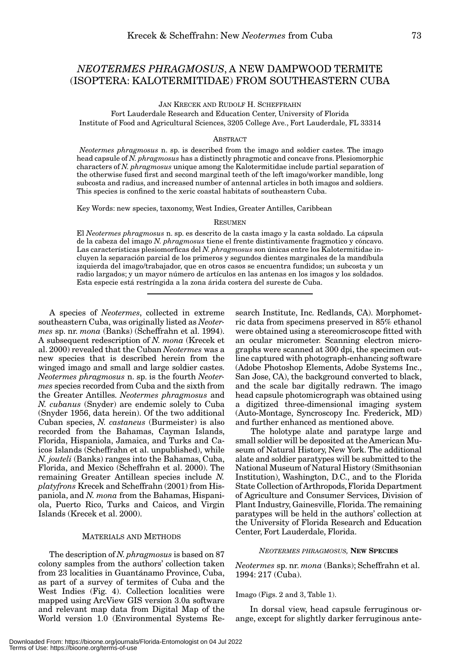# *NEOTERMES PHRAGMOSUS*, A NEW DAMPWOOD TERMITE (ISOPTERA: KALOTERMITIDAE) FROM SOUTHEASTERN CUBA

JAN KRECEK AND RUDOLF H. SCHEFFRAHN

Fort Lauderdale Research and Education Center, University of Florida Institute of Food and Agricultural Sciences, 3205 College Ave., Fort Lauderdale, FL 33314

#### ABSTRACT

*Neotermes phragmosus* n. sp. is described from the imago and soldier castes. The imago head capsule of *N. phragmosus* has a distinctly phragmotic and concave frons. Plesiomorphic characters of *N. phragmosus* unique among the Kalotermitidae include partial separation of the otherwise fused first and second marginal teeth of the left imago/worker mandible, long subcosta and radius, and increased number of antennal articles in both imagos and soldiers. This species is confined to the xeric coastal habitats of southeastern Cuba.

Key Words: new species, taxonomy, West Indies, Greater Antilles, Caribbean

#### **RESUMEN**

El *Neotermes phragmosus* n. sp. es descrito de la casta imago y la casta soldado. La cápsula de la cabeza del imago *N. phragmosus* tiene el frente distintivamente fragmotico y cóncavo. Las características plesiomorficas del *N. phragmosus* son únicas entre los Kalotermitidae incluyen la separación parcial de los primeros y segundos dientes marginales de la mandíbula izquierda del imago/trabajador, que en otros casos se encuentra fundidos; un subcosta y un radio largados; y un mayor número de artículos en las antenas en los imagos y los soldados. Esta especie está restríngida a la zona árida costera del sureste de Cuba.

A species of *Neotermes*, collected in extreme southeastern Cuba, was originally listed as *Neotermes* sp. nr. *mona* (Banks) (Scheffrahn et al. 1994). A subsequent redescription of *N. mona* (Krecek et al. 2000) revealed that the Cuban *Neotermes* was a new species that is described herein from the winged imago and small and large soldier castes. *Neotermes phragmosus* n. sp. is the fourth *Neotermes* species recorded from Cuba and the sixth from the Greater Antilles. *Neotermes phragmosus* and *N. cubanus* (Snyder) are endemic solely to Cuba (Snyder 1956, data herein). Of the two additional Cuban species, *N. castaneus* (Burmeister) is also recorded from the Bahamas, Cayman Islands, Florida, Hispaniola, Jamaica, and Turks and Caicos Islands (Scheffrahn et al. unpublished), while *N. jouteli* (Banks) ranges into the Bahamas, Cuba, Florida, and Mexico (Scheffrahn et al. 2000). The remaining Greater Antillean species include *N. platyfrons* Krecek and Scheffrahn (2001) from Hispaniola, and *N. mona* from the Bahamas, Hispaniola, Puerto Rico, Turks and Caicos, and Virgin Islands (Krecek et al. 2000).

#### MATERIALS AND METHODS

The description of *N. phragmosus* is based on 87 colony samples from the authors' collection taken from 23 localities in Guantánamo Province, Cuba, as part of a survey of termites of Cuba and the West Indies (Fig. 4). Collection localities were mapped using ArcView GIS version 3.0a software and relevant map data from Digital Map of the World version 1.0 (Environmental Systems Research Institute, Inc. Redlands, CA). Morphometric data from specimens preserved in 85% ethanol were obtained using a stereomicroscope fitted with an ocular micrometer. Scanning electron micrographs were scanned at 300 dpi, the specimen outline captured with photograph-enhancing software (Adobe Photoshop Elements, Adobe Systems Inc., San Jose, CA), the background converted to black, and the scale bar digitally redrawn. The imago head capsule photomicrograph was obtained using a digitized three-dimensional imaging system (Auto-Montage, Syncroscopy Inc. Frederick, MD) and further enhanced as mentioned above.

The holotype alate and paratype large and small soldier will be deposited at the American Museum of Natural History, New York. The additional alate and soldier paratypes will be submitted to the National Museum of Natural History (Smithsonian Institution), Washington, D.C., and to the Florida State Collection of Arthropods, Florida Department of Agriculture and Consumer Services, Division of Plant Industry, Gainesville, Florida. The remaining paratypes will be held in the authors' collection at the University of Florida Research and Education Center, Fort Lauderdale, Florida.

### *NEOTERMES PHRAGMOSUS,* **NEW SPECIES**

*Neotermes* sp. nr. *mona* (Banks); Scheffrahn et al. 1994: 217 (Cuba).

# Imago (Figs. 2 and 3, Table 1).

In dorsal view, head capsule ferruginous orange, except for slightly darker ferruginous ante-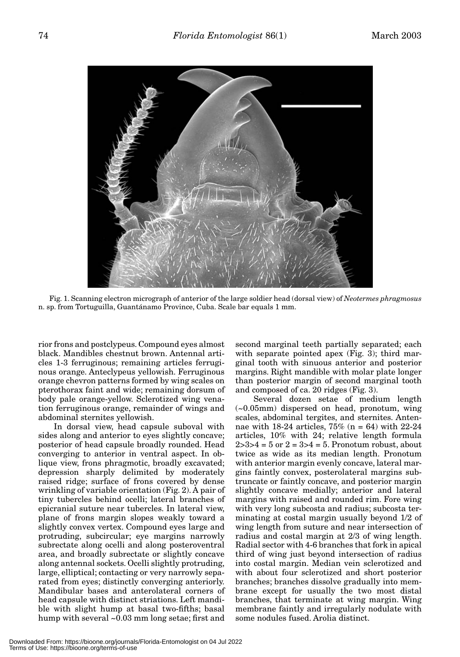

Fig. 1. Scanning electron micrograph of anterior of the large soldier head (dorsal view) of *Neotermes phragmosus* n. sp. from Tortuguilla, Guantánamo Province, Cuba. Scale bar equals 1 mm.

rior frons and postclypeus. Compound eyes almost black. Mandibles chestnut brown. Antennal articles 1-3 ferruginous; remaining articles ferruginous orange. Anteclypeus yellowish. Ferruginous orange chevron patterns formed by wing scales on pterothorax faint and wide; remaining dorsum of body pale orange-yellow. Sclerotized wing venation ferruginous orange, remainder of wings and abdominal sternites yellowish.

In dorsal view, head capsule suboval with sides along and anterior to eyes slightly concave; posterior of head capsule broadly rounded. Head converging to anterior in ventral aspect. In oblique view, frons phragmotic, broadly excavated; depression sharply delimited by moderately raised ridge; surface of frons covered by dense wrinkling of variable orientation (Fig. 2). A pair of tiny tubercles behind ocelli; lateral branches of epicranial suture near tubercles. In lateral view, plane of frons margin slopes weakly toward a slightly convex vertex. Compound eyes large and protruding, subcircular; eye margins narrowly subrectate along ocelli and along posteroventral area, and broadly subrectate or slightly concave along antennal sockets. Ocelli slightly protruding, large, elliptical; contacting or very narrowly separated from eyes; distinctly converging anteriorly. Mandibular bases and anterolateral corners of head capsule with distinct striations. Left mandible with slight hump at basal two-fifths; basal hump with several ~0.03 mm long setae; first and

second marginal teeth partially separated; each with separate pointed apex (Fig. 3); third marginal tooth with sinuous anterior and posterior margins. Right mandible with molar plate longer than posterior margin of second marginal tooth and composed of ca. 20 ridges (Fig. 3).

Several dozen setae of medium length (~0.05mm) dispersed on head, pronotum, wing scales, abdominal tergites, and sternites. Antennae with 18-24 articles,  $75\%$  (n = 64) with 22-24 articles, 10% with 24; relative length formula  $2 > 3 > 4 = 5$  or  $2 = 3 > 4 = 5$ . Pronotum robust, about twice as wide as its median length. Pronotum with anterior margin evenly concave, lateral margins faintly convex, posterolateral margins subtruncate or faintly concave, and posterior margin slightly concave medially; anterior and lateral margins with raised and rounded rim. Fore wing with very long subcosta and radius; subcosta terminating at costal margin usually beyond 1/2 of wing length from suture and near intersection of radius and costal margin at 2/3 of wing length. Radial sector with 4-6 branches that fork in apical third of wing just beyond intersection of radius into costal margin. Median vein sclerotized and with about four sclerotized and short posterior branches; branches dissolve gradually into membrane except for usually the two most distal branches, that terminate at wing margin. Wing membrane faintly and irregularly nodulate with some nodules fused. Arolia distinct.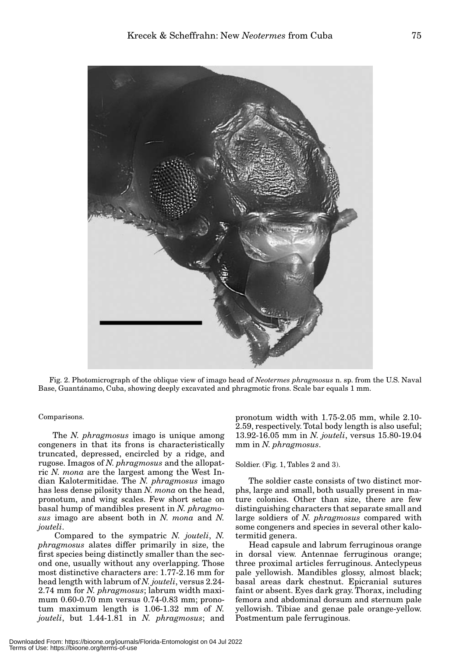

Fig. 2. Photomicrograph of the oblique view of imago head of *Neotermes phragmosus* n. sp. from the U.S. Naval Base, Guantánamo, Cuba, showing deeply excavated and phragmotic frons. Scale bar equals 1 mm.

Comparisons.

The *N. phragmosus* imago is unique among congeners in that its frons is characteristically truncated, depressed, encircled by a ridge, and rugose. Imagos of *N. phragmosus* and the allopatric *N. mona* are the largest among the West Indian Kalotermitidae. The *N. phragmosus* imago has less dense pilosity than *N. mona* on the head, pronotum, and wing scales. Few short setae on basal hump of mandibles present in *N. phragmosus* imago are absent both in *N. mona* and *N. jouteli*.

Compared to the sympatric *N. jouteli*, *N. phragmosus* alates differ primarily in size, the first species being distinctly smaller than the second one, usually without any overlapping. Those most distinctive characters are: 1.77-2.16 mm for head length with labrum of *N. jouteli*, versus 2.24- 2.74 mm for *N. phragmosus*; labrum width maximum 0.60-0.70 mm versus 0.74-0.83 mm; pronotum maximum length is 1.06-1.32 mm of *N. jouteli*, but 1.44-1.81 in *N. phragmosus*; and pronotum width with 1.75-2.05 mm, while 2.10- 2.59, respectively. Total body length is also useful; 13.92-16.05 mm in *N. jouteli*, versus 15.80-19.04 mm in *N. phragmosus*.

Soldier. (Fig. 1, Tables 2 and 3).

The soldier caste consists of two distinct morphs, large and small, both usually present in mature colonies. Other than size, there are few distinguishing characters that separate small and large soldiers of *N. phragmosus* compared with some congeners and species in several other kalotermitid genera.

Head capsule and labrum ferruginous orange in dorsal view. Antennae ferruginous orange; three proximal articles ferruginous. Anteclypeus pale yellowish. Mandibles glossy, almost black; basal areas dark chestnut. Epicranial sutures faint or absent. Eyes dark gray. Thorax, including femora and abdominal dorsum and sternum pale yellowish. Tibiae and genae pale orange-yellow. Postmentum pale ferruginous.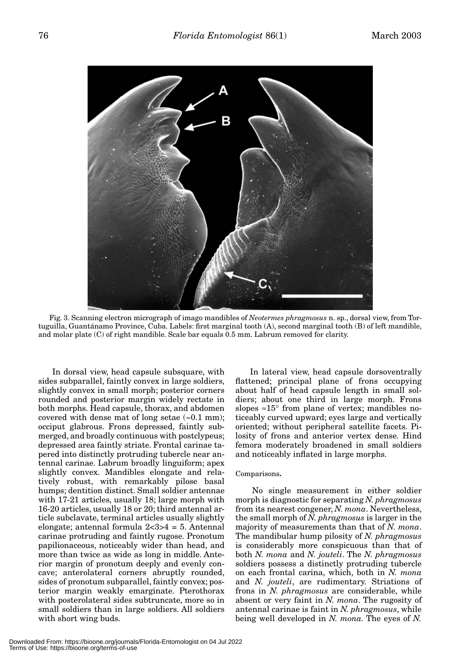

Fig. 3. Scanning electron micrograph of imago mandibles of *Neotermes phragmosus* n. sp., dorsal view, from Tortuguilla, Guantánamo Province, Cuba. Labels: first marginal tooth (A), second marginal tooth (B) of left mandible, and molar plate (C) of right mandible. Scale bar equals 0.5 mm. Labrum removed for clarity.

In dorsal view, head capsule subsquare, with sides subparallel, faintly convex in large soldiers, slightly convex in small morph; posterior corners rounded and posterior margin widely rectate in both morphs. Head capsule, thorax, and abdomen covered with dense mat of long setae  $(-0.1 \text{ mm})$ ; occiput glabrous. Frons depressed, faintly submerged, and broadly continuous with postclypeus; depressed area faintly striate. Frontal carinae tapered into distinctly protruding tubercle near antennal carinae. Labrum broadly linguiform; apex slightly convex. Mandibles elongate and relatively robust, with remarkably pilose basal humps; dentition distinct. Small soldier antennae with 17-21 articles, usually 18; large morph with 16-20 articles, usually 18 or 20; third antennal article subclavate, terminal articles usually slightly elongate; antennal formula 2<3>4 = 5. Antennal carinae protruding and faintly rugose. Pronotum papilionaceous, noticeably wider than head, and more than twice as wide as long in middle. Anterior margin of pronotum deeply and evenly concave; anterolateral corners abruptly rounded, sides of pronotum subparallel, faintly convex; posterior margin weakly emarginate. Pterothorax with posterolateral sides subtruncate, more so in small soldiers than in large soldiers. All soldiers with short wing buds.

In lateral view, head capsule dorsoventrally flattened; principal plane of frons occupying about half of head capsule length in small soldiers; about one third in large morph. Frons slopes  $\approx 15^{\circ}$  from plane of vertex; mandibles noticeably curved upward; eyes large and vertically oriented; without peripheral satellite facets. Pilosity of frons and anterior vertex dense. Hind femora moderately broadened in small soldiers and noticeably inflated in large morphs.

#### Comparisons**.**

No single measurement in either soldier morph is diagnostic for separating *N. phragmosus* from its nearest congener, *N. mona*. Nevertheless, the small morph of *N. phragmosus* is larger in the majority of measurements than that of *N. mona*. The mandibular hump pilosity of *N. phragmosus* is considerably more conspicuous than that of both *N. mona* and *N. jouteli*. The *N. phragmosus* soldiers possess a distinctly protruding tubercle on each frontal carina, which, both in *N. mona* and *N. jouteli*, are rudimentary*.* Striations of frons in *N. phragmosus* are considerable, while absent or very faint in *N. mona*. The rugosity of antennal carinae is faint in *N. phragmosus*, while being well developed in *N. mona.* The eyes of *N.*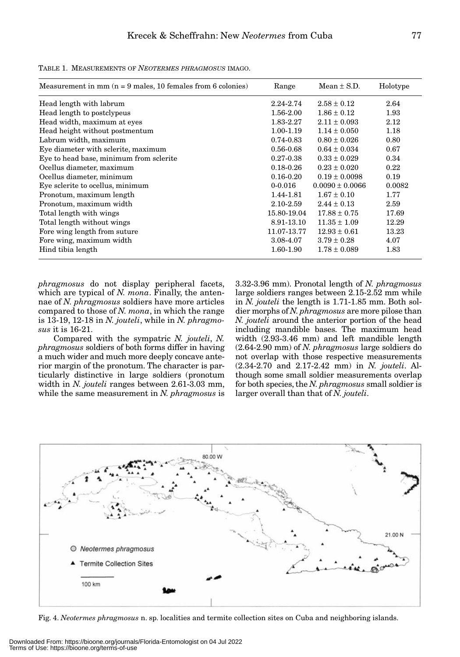| TABLE 1. MEASUREMENTS OF NEOTERMES PHRAGMOSUS IMAGO. |  |
|------------------------------------------------------|--|
|------------------------------------------------------|--|

| Measurement in mm $(n = 9$ males, 10 females from 6 colonies) | Range         | $Mean \pm S.D.$     | Holotype |
|---------------------------------------------------------------|---------------|---------------------|----------|
| Head length with labrum                                       | 2.24-2.74     | $2.58 \pm 0.12$     | 2.64     |
| Head length to postclypeus                                    | 1.56-2.00     | $1.86 \pm 0.12$     | 1.93     |
| Head width, maximum at eyes                                   | 1.83-2.27     | $2.11 \pm 0.093$    | 2.12     |
| Head height without postmentum                                | 1.00-1.19     | $1.14 \pm 0.050$    | 1.18     |
| Labrum width, maximum                                         | $0.74 - 0.83$ | $0.80 \pm 0.026$    | 0.80     |
| Eye diameter with sclerite, maximum                           | $0.56 - 0.68$ | $0.64 \pm 0.034$    | 0.67     |
| Eye to head base, minimum from sclerite                       | $0.27 - 0.38$ | $0.33 \pm 0.029$    | 0.34     |
| Ocellus diameter, maximum                                     | $0.18 - 0.26$ | $0.23 \pm 0.020$    | 0.22     |
| Ocellus diameter, minimum                                     | $0.16 - 0.20$ | $0.19 \pm 0.0098$   | 0.19     |
| Eye sclerite to ocellus, minimum                              | $0 - 0.016$   | $0.0090 \pm 0.0066$ | 0.0082   |
| Pronotum, maximum length                                      | 1.44-1.81     | $1.67 \pm 0.10$     | 1.77     |
| Pronotum, maximum width                                       | 2.10-2.59     | $2.44 \pm 0.13$     | 2.59     |
| Total length with wings                                       | 15.80-19.04   | $17.88 \pm 0.75$    | 17.69    |
| Total length without wings                                    | 8.91-13.10    | $11.35 \pm 1.09$    | 12.29    |
| Fore wing length from suture                                  | 11.07-13.77   | $12.93 \pm 0.61$    | 13.23    |
| Fore wing, maximum width                                      | 3.08-4.07     | $3.79 \pm 0.28$     | 4.07     |
| Hind tibia length                                             | $1.60 - 1.90$ | $1.78 \pm 0.089$    | 1.83     |

*phragmosus* do not display peripheral facets, which are typical of *N. mona*. Finally, the antennae of *N. phragmosus* soldiers have more articles compared to those of *N. mona*, in which the range is 13-19, 12-18 in *N. jouteli*, while in *N. phragmosus* it is 16-21.

Compared with the sympatric *N. jouteli*, *N. phragmosus* soldiers of both forms differ in having a much wider and much more deeply concave anterior margin of the pronotum. The character is particularly distinctive in large soldiers (pronotum width in *N. jouteli* ranges between 2.61-3.03 mm, while the same measurement in *N. phragmosus* is 3.32-3.96 mm). Pronotal length of *N. phragmosus* large soldiers ranges between 2.15-2.52 mm while in *N. jouteli* the length is 1.71-1.85 mm. Both soldier morphs of *N. phragmosus* are more pilose than *N. jouteli* around the anterior portion of the head including mandible bases. The maximum head width (2.93-3.46 mm) and left mandible length (2.64-2.90 mm) of *N. phragmosus* large soldiers do not overlap with those respective measurements (2.34-2.70 and 2.17-2.42 mm) in *N. jouteli*. Although some small soldier measurements overlap for both species, the *N. phragmosus* small soldier is larger overall than that of *N. jouteli*.



Fig. 4. *Neotermes phragmosus* n. sp. localities and termite collection sites on Cuba and neighboring islands.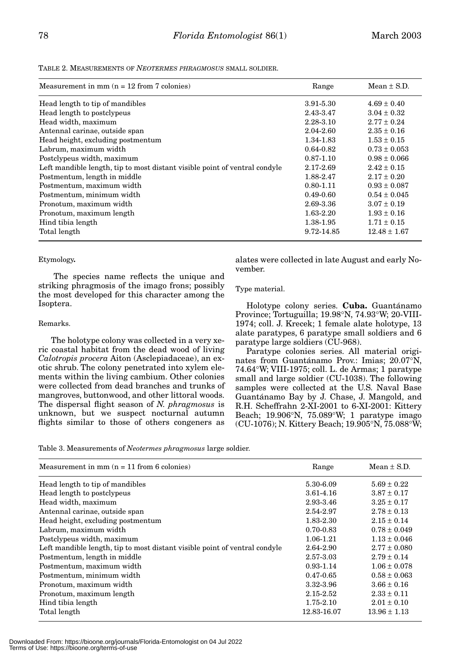TABLE 2. MEASUREMENTS OF *NEOTERMES PHRAGMOSUS* SMALL SOLDIER.

| Measurement in mm $(n = 12$ from 7 colonies)                               | Range         | Mean $\pm$ S.D.  |
|----------------------------------------------------------------------------|---------------|------------------|
| Head length to tip of mandibles                                            | 3.91-5.30     | $4.69 \pm 0.40$  |
| Head length to postclypeus                                                 | 2.43-3.47     | $3.04 \pm 0.32$  |
| Head width, maximum                                                        | 2.28-3.10     | $2.77 \pm 0.24$  |
| Antennal carinae, outside span                                             | 2.04-2.60     | $2.35 \pm 0.16$  |
| Head height, excluding postmentum                                          | 1.34-1.83     | $1.53 \pm 0.15$  |
| Labrum, maximum width                                                      | $0.64 - 0.82$ | $0.73 \pm 0.053$ |
| Postclypeus width, maximum                                                 | $0.87 - 1.10$ | $0.98 \pm 0.066$ |
| Left mandible length, tip to most distant visible point of ventral condyle | 2.17-2.69     | $2.42 \pm 0.15$  |
| Postmentum, length in middle                                               | 1.88-2.47     | $2.17 \pm 0.20$  |
| Postmentum, maximum width                                                  | $0.80 - 1.11$ | $0.93 \pm 0.087$ |
| Postmentum, minimum width                                                  | $0.49 - 0.60$ | $0.54 \pm 0.045$ |
| Pronotum, maximum width                                                    | 2.69-3.36     | $3.07 \pm 0.19$  |
| Pronotum, maximum length                                                   | 1.63-2.20     | $1.93 \pm 0.16$  |
| Hind tibia length                                                          | 1.38-1.95     | $1.71 \pm 0.15$  |
| Total length                                                               | 9.72-14.85    | $12.48 \pm 1.67$ |

# Etymology**.**

The species name reflects the unique and striking phragmosis of the imago frons; possibly the most developed for this character among the Isoptera.

# Remarks.

The holotype colony was collected in a very xeric coastal habitat from the dead wood of living *Calotropis procera* Aiton (Asclepiadaceae), an exotic shrub. The colony penetrated into xylem elements within the living cambium. Other colonies were collected from dead branches and trunks of mangroves, buttonwood, and other littoral woods. The dispersal flight season of *N. phragmosus* is unknown, but we suspect nocturnal autumn flights similar to those of others congeners as

alates were collected in late August and early November.

# Type material.

Holotype colony series. **Cuba.** Guantánamo Province; Tortuguilla; 19.98°N, 74.93°W; 20-VIII-1974; coll. J. Krecek; 1 female alate holotype, 13 alate paratypes, 6 paratype small soldiers and 6 paratype large soldiers (CU-968).

Paratype colonies series. All material originates from Guantánamo Prov.: Imias; 20.07°N, 74.64°W; VIII-1975; coll. L. de Armas; 1 paratype small and large soldier (CU-1038). The following samples were collected at the U.S. Naval Base Guantánamo Bay by J. Chase, J. Mangold, and R.H. Scheffrahn 2-XI-2001 to 6-XI-2001: Kittery Beach; 19.906°N, 75.089°W; 1 paratype imago (CU-1076); N. Kittery Beach; 19.905°N, 75.088°W;

Table 3. Measurements of *Neotermes phragmosus* large soldier.

| Measurement in mm $(n = 11$ from 6 colonies)                               | Range         | $Mean \pm S.D.$  |
|----------------------------------------------------------------------------|---------------|------------------|
| Head length to tip of mandibles                                            | 5.30-6.09     | $5.69 \pm 0.22$  |
| Head length to postcive us                                                 | 3.61-4.16     | $3.87 \pm 0.17$  |
| Head width, maximum                                                        | 2.93-3.46     | $3.25 \pm 0.17$  |
| Antennal carinae, outside span                                             | 2.54-2.97     | $2.78 \pm 0.13$  |
| Head height, excluding postmentum                                          | 1.83-2.30     | $2.15 \pm 0.14$  |
| Labrum, maximum width                                                      | $0.70 - 0.83$ | $0.78 \pm 0.049$ |
| Postclypeus width, maximum                                                 | 1.06-1.21     | $1.13 \pm 0.046$ |
| Left mandible length, tip to most distant visible point of ventral condyle | 2.64-2.90     | $2.77 \pm 0.080$ |
| Postmentum, length in middle                                               | 2.57-3.03     | $2.79 \pm 0.14$  |
| Postmentum, maximum width                                                  | 0.93-1.14     | $1.06 \pm 0.078$ |
| Postmentum, minimum width                                                  | $0.47 - 0.65$ | $0.58 \pm 0.063$ |
| Pronotum, maximum width                                                    | 3.32-3.96     | $3.66 \pm 0.16$  |
| Pronotum, maximum length                                                   | 2.15-2.52     | $2.33 \pm 0.11$  |
| Hind tibia length                                                          | 1.75-2.10     | $2.01 \pm 0.10$  |
| Total length                                                               | 12.83-16.07   | $13.96 \pm 1.13$ |